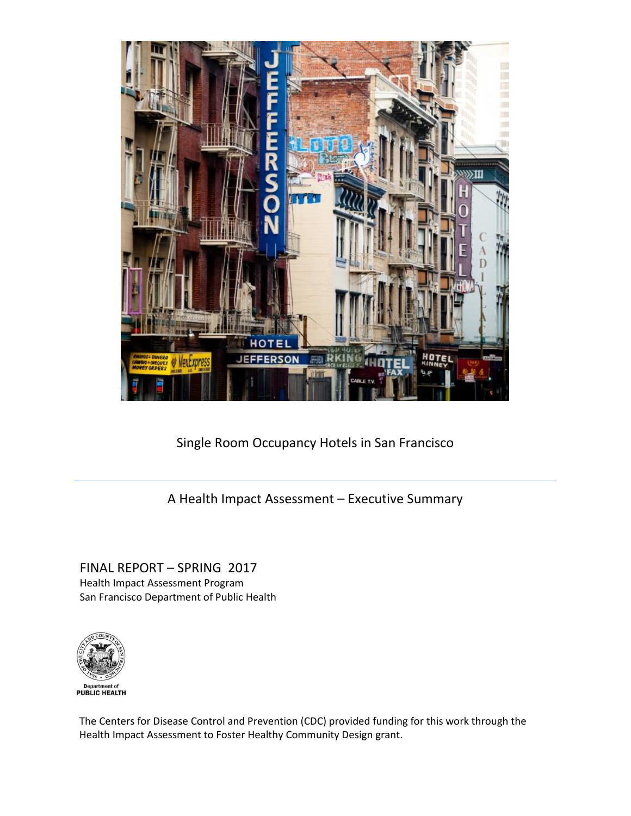

Single Room Occupancy Hotels in San Francisco

A Health Impact Assessment – Executive Summary

FINAL REPORT – SPRING 2017 Health Impact Assessment Program San Francisco Department of Public Health



The Centers for Disease Control and Prevention (CDC) provided funding for this work through the Health Impact Assessment to Foster Healthy Community Design grant.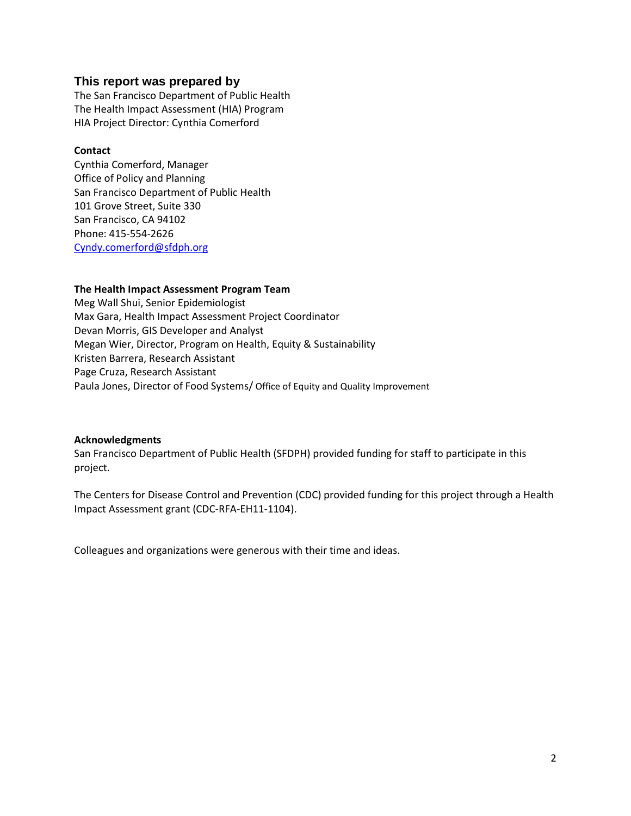# **This report was prepared by**

The San Francisco Department of Public Health The Health Impact Assessment (HIA) Program HIA Project Director: Cynthia Comerford

## **Contact**

Cynthia Comerford, Manager Office of Policy and Planning San Francisco Department of Public Health 101 Grove Street, Suite 330 San Francisco, CA 94102 Phone: 415‐554‐2626 [Cyndy.comerford@sfdph.org](mailto:Cyndy.comerford@sfdph.org)

## **The Health Impact Assessment Program Team**

Meg Wall Shui, Senior Epidemiologist Max Gara, Health Impact Assessment Project Coordinator Devan Morris, GIS Developer and Analyst Megan Wier, Director, Program on Health, Equity & Sustainability Kristen Barrera, Research Assistant Page Cruza, Research Assistant Paula Jones, Director of Food Systems/ Office of Equity and Quality Improvement

#### **Acknowledgments**

San Francisco Department of Public Health (SFDPH) provided funding for staff to participate in this project.

The Centers for Disease Control and Prevention (CDC) provided funding for this project through a Health Impact Assessment grant (CDC‐RFA‐EH11‐1104).

Colleagues and organizations were generous with their time and ideas.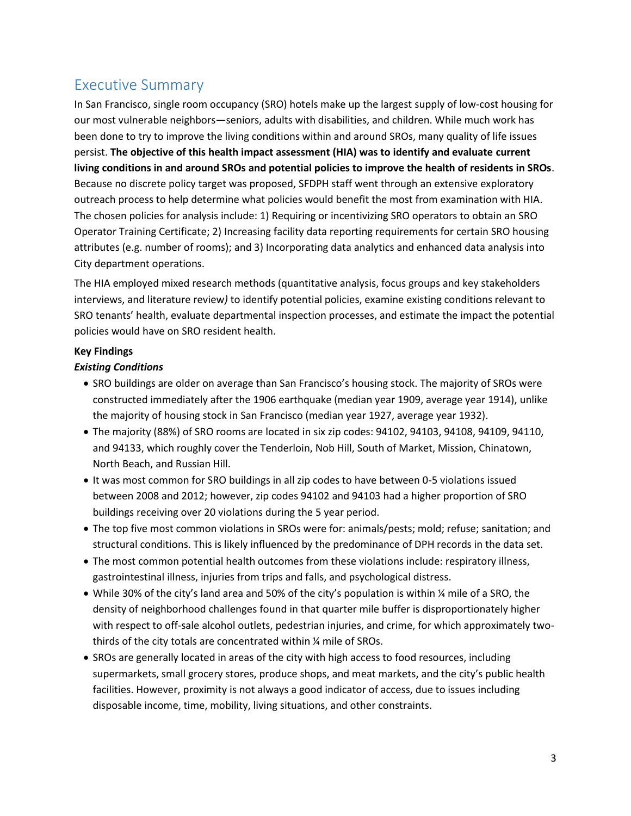# Executive Summary

In San Francisco, single room occupancy (SRO) hotels make up the largest supply of low-cost housing for our most vulnerable neighbors—seniors, adults with disabilities, and children. While much work has been done to try to improve the living conditions within and around SROs, many quality of life issues persist. **The objective of this health impact assessment (HIA) was to identify and evaluate current living conditions in and around SROs and potential policies to improve the health of residents in SROs**. Because no discrete policy target was proposed, SFDPH staff went through an extensive exploratory outreach process to help determine what policies would benefit the most from examination with HIA. The chosen policies for analysis include: 1) Requiring or incentivizing SRO operators to obtain an SRO Operator Training Certificate; 2) Increasing facility data reporting requirements for certain SRO housing attributes (e.g. number of rooms); and 3) Incorporating data analytics and enhanced data analysis into City department operations.

The HIA employed mixed research methods (quantitative analysis, focus groups and key stakeholders interviews, and literature review*)* to identify potential policies, examine existing conditions relevant to SRO tenants' health, evaluate departmental inspection processes, and estimate the impact the potential policies would have on SRO resident health.

# **Key Findings**

# *Existing Conditions*

- SRO buildings are older on average than San Francisco's housing stock. The majority of SROs were constructed immediately after the 1906 earthquake (median year 1909, average year 1914), unlike the majority of housing stock in San Francisco (median year 1927, average year 1932).
- The majority (88%) of SRO rooms are located in six zip codes: 94102, 94103, 94108, 94109, 94110, and 94133, which roughly cover the Tenderloin, Nob Hill, South of Market, Mission, Chinatown, North Beach, and Russian Hill.
- It was most common for SRO buildings in all zip codes to have between 0-5 violations issued between 2008 and 2012; however, zip codes 94102 and 94103 had a higher proportion of SRO buildings receiving over 20 violations during the 5 year period.
- The top five most common violations in SROs were for: animals/pests; mold; refuse; sanitation; and structural conditions. This is likely influenced by the predominance of DPH records in the data set.
- The most common potential health outcomes from these violations include: respiratory illness, gastrointestinal illness, injuries from trips and falls, and psychological distress.
- While 30% of the city's land area and 50% of the city's population is within ¼ mile of a SRO, the density of neighborhood challenges found in that quarter mile buffer is disproportionately higher with respect to off-sale alcohol outlets, pedestrian injuries, and crime, for which approximately twothirds of the city totals are concentrated within ¼ mile of SROs.
- SROs are generally located in areas of the city with high access to food resources, including supermarkets, small grocery stores, produce shops, and meat markets, and the city's public health facilities. However, proximity is not always a good indicator of access, due to issues including disposable income, time, mobility, living situations, and other constraints.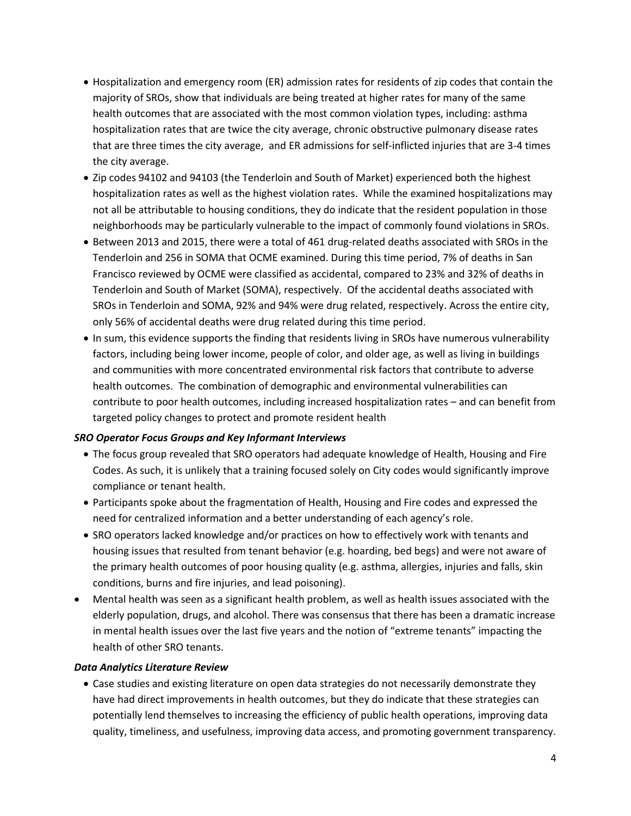- Hospitalization and emergency room (ER) admission rates for residents of zip codes that contain the majority of SROs, show that individuals are being treated at higher rates for many of the same health outcomes that are associated with the most common violation types, including: asthma hospitalization rates that are twice the city average, chronic obstructive pulmonary disease rates that are three times the city average, and ER admissions for self-inflicted injuries that are 3-4 times the city average.
- Zip codes 94102 and 94103 (the Tenderloin and South of Market) experienced both the highest hospitalization rates as well as the highest violation rates. While the examined hospitalizations may not all be attributable to housing conditions, they do indicate that the resident population in those neighborhoods may be particularly vulnerable to the impact of commonly found violations in SROs.
- Between 2013 and 2015, there were a total of 461 drug-related deaths associated with SROs in the Tenderloin and 256 in SOMA that OCME examined. During this time period, 7% of deaths in San Francisco reviewed by OCME were classified as accidental, compared to 23% and 32% of deaths in Tenderloin and South of Market (SOMA), respectively. Of the accidental deaths associated with SROs in Tenderloin and SOMA, 92% and 94% were drug related, respectively. Across the entire city, only 56% of accidental deaths were drug related during this time period.
- In sum, this evidence supports the finding that residents living in SROs have numerous vulnerability factors, including being lower income, people of color, and older age, as well as living in buildings and communities with more concentrated environmental risk factors that contribute to adverse health outcomes. The combination of demographic and environmental vulnerabilities can contribute to poor health outcomes, including increased hospitalization rates – and can benefit from targeted policy changes to protect and promote resident health

### *SRO Operator Focus Groups and Key Informant Interviews*

- The focus group revealed that SRO operators had adequate knowledge of Health, Housing and Fire Codes. As such, it is unlikely that a training focused solely on City codes would significantly improve compliance or tenant health.
- Participants spoke about the fragmentation of Health, Housing and Fire codes and expressed the need for centralized information and a better understanding of each agency's role.
- SRO operators lacked knowledge and/or practices on how to effectively work with tenants and housing issues that resulted from tenant behavior (e.g. hoarding, bed begs) and were not aware of the primary health outcomes of poor housing quality (e.g. asthma, allergies, injuries and falls, skin conditions, burns and fire injuries, and lead poisoning).
- Mental health was seen as a significant health problem, as well as health issues associated with the elderly population, drugs, and alcohol. There was consensus that there has been a dramatic increase in mental health issues over the last five years and the notion of "extreme tenants" impacting the health of other SRO tenants.

### *Data Analytics Literature Review*

 Case studies and existing literature on open data strategies do not necessarily demonstrate they have had direct improvements in health outcomes, but they do indicate that these strategies can potentially lend themselves to increasing the efficiency of public health operations, improving data quality, timeliness, and usefulness, improving data access, and promoting government transparency.